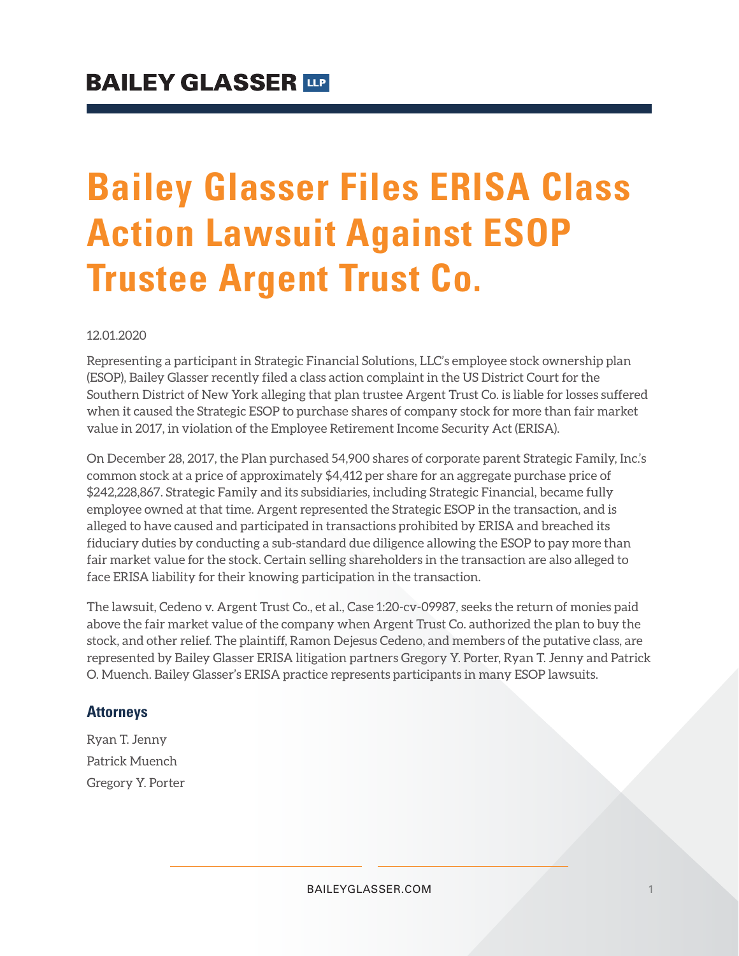# **Bailey Glasser Files ERISA Class Action Lawsuit Against ESOP Trustee Argent Trust Co.**

#### 12.01.2020

Representing a participant in Strategic Financial Solutions, LLC's employee stock ownership plan (ESOP), Bailey Glasser recently filed a class action complaint in the US District Court for the Southern District of New York alleging that plan trustee Argent Trust Co. is liable for losses suffered when it caused the Strategic ESOP to purchase shares of company stock for more than fair market value in 2017, in violation of the Employee Retirement Income Security Act (ERISA).

On December 28, 2017, the Plan purchased 54,900 shares of corporate parent Strategic Family, Inc.'s common stock at a price of approximately \$4,412 per share for an aggregate purchase price of \$242,228,867. Strategic Family and its subsidiaries, including Strategic Financial, became fully employee owned at that time. Argent represented the Strategic ESOP in the transaction, and is alleged to have caused and participated in transactions prohibited by ERISA and breached its fiduciary duties by conducting a sub-standard due diligence allowing the ESOP to pay more than fair market value for the stock. Certain selling shareholders in the transaction are also alleged to face ERISA liability for their knowing participation in the transaction.

The lawsuit, Cedeno v. Argent Trust Co., et al., Case 1:20-cv-09987, seeks the return of monies paid above the fair market value of the company when Argent Trust Co. authorized the plan to buy the stock, and other relief. The plaintiff, Ramon Dejesus Cedeno, and members of the putative class, are represented by Bailey Glasser ERISA litigation partners Gregory Y. Porter, Ryan T. Jenny and Patrick O. Muench. Bailey Glasser's ERISA practice represents participants in many ESOP lawsuits.

#### **Attorneys**

Ryan T. Jenny Patrick Muench Gregory Y. Porter